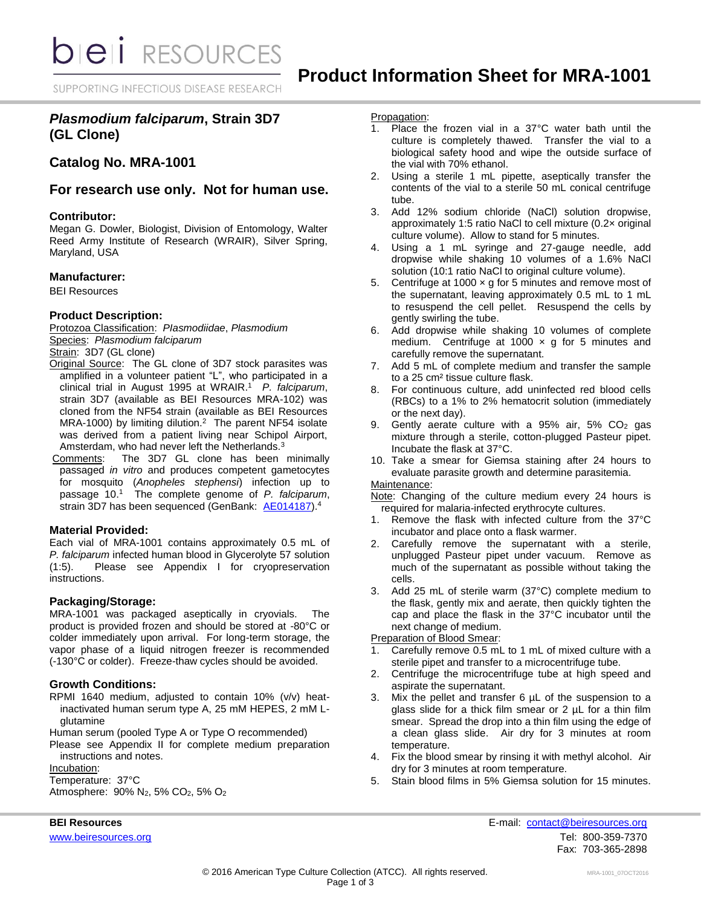**bieli** RESOURCES

SUPPORTING INFECTIOUS DISEASE RESEARCH

# *Plasmodium falciparum***, Strain 3D7 (GL Clone)**

# **Catalog No. MRA-1001**

# **For research use only. Not for human use.**

### **Contributor:**

Megan G. Dowler, Biologist, Division of Entomology, Walter Reed Army Institute of Research (WRAIR), Silver Spring, Maryland, USA

## **Manufacturer:**

BEI Resources

### **Product Description:**

Protozoa Classification: *PIasmodiidae*, *Plasmodium* Species: *Plasmodium falciparum*

Strain: 3D7 (GL clone)

- Original Source: The GL clone of 3D7 stock parasites was amplified in a volunteer patient "L", who participated in a clinical trial in August 1995 at WRAIR. 1 *P. falciparum*, strain 3D7 (available as BEI Resources MRA-102) was cloned from the NF54 strain (available as BEI Resources MRA-1000) by limiting dilution.<sup>2</sup> The parent NF54 isolate was derived from a patient living near Schipol Airport, Amsterdam, who had never left the Netherlands.<sup>3</sup>
- Comments: The 3D7 GL clone has been minimally passaged *in vitro* and produces competent gametocytes for mosquito (*Anopheles stephensi*) infection up to passage 10. 1 The complete genome of *P. falciparum*, strain 3D7 has been sequenced (GenBank: [AE014187\)](http://www.ncbi.nlm.nih.gov/nuccore/AE014187).<sup>4</sup>

### **Material Provided:**

Each vial of MRA-1001 contains approximately 0.5 mL of *P. falciparum* infected human blood in Glycerolyte 57 solution (1:5). Please see Appendix I for cryopreservation instructions.

### **Packaging/Storage:**

MRA-1001 was packaged aseptically in cryovials. The product is provided frozen and should be stored at -80°C or colder immediately upon arrival. For long-term storage, the vapor phase of a liquid nitrogen freezer is recommended (-130°C or colder). Freeze-thaw cycles should be avoided.

### **Growth Conditions:**

RPMI 1640 medium, adjusted to contain 10% (v/v) heatinactivated human serum type A, 25 mM HEPES, 2 mM Lglutamine

Human serum (pooled Type A or Type O recommended)

Please see Appendix II for complete medium preparation instructions and notes.

Incubation:

Temperature: 37°C

Atmosphere:  $90\%$  N<sub>2</sub>, 5% CO<sub>2</sub>, 5% O<sub>2</sub>

### Propagation:

- 1. Place the frozen vial in a 37°C water bath until the culture is completely thawed. Transfer the vial to a biological safety hood and wipe the outside surface of the vial with 70% ethanol.
- 2. Using a sterile 1 mL pipette, aseptically transfer the contents of the vial to a sterile 50 mL conical centrifuge tube.
- 3. Add 12% sodium chloride (NaCl) solution dropwise, approximately 1:5 ratio NaCl to cell mixture (0.2× original culture volume). Allow to stand for 5 minutes.
- 4. Using a 1 mL syringe and 27-gauge needle, add dropwise while shaking 10 volumes of a 1.6% NaCl solution (10:1 ratio NaCl to original culture volume).
- 5. Centrifuge at 1000  $\times$  g for 5 minutes and remove most of the supernatant, leaving approximately 0.5 mL to 1 mL to resuspend the cell pellet. Resuspend the cells by gently swirling the tube.
- 6. Add dropwise while shaking 10 volumes of complete medium. Centrifuge at 1000  $\times$  g for 5 minutes and carefully remove the supernatant.
- 7. Add 5 mL of complete medium and transfer the sample to a 25 cm² tissue culture flask.
- 8. For continuous culture, add uninfected red blood cells (RBCs) to a 1% to 2% hematocrit solution (immediately or the next day).
- 9. Gently aerate culture with a 95% air, 5% CO<sup>2</sup> gas mixture through a sterile, cotton-plugged Pasteur pipet. Incubate the flask at 37°C.
- 10. Take a smear for Giemsa staining after 24 hours to evaluate parasite growth and determine parasitemia.

## Maintenance:

Note: Changing of the culture medium every 24 hours is required for malaria-infected erythrocyte cultures.

- 1. Remove the flask with infected culture from the 37°C incubator and place onto a flask warmer.
- 2. Carefully remove the supernatant with a sterile, unplugged Pasteur pipet under vacuum. Remove as much of the supernatant as possible without taking the cells.
- 3. Add 25 mL of sterile warm (37°C) complete medium to the flask, gently mix and aerate, then quickly tighten the cap and place the flask in the 37°C incubator until the next change of medium.

### Preparation of Blood Smear:

- 1. Carefully remove 0.5 mL to 1 mL of mixed culture with a sterile pipet and transfer to a microcentrifuge tube.
- 2. Centrifuge the microcentrifuge tube at high speed and aspirate the supernatant.
- 3. Mix the pellet and transfer 6  $\mu$ L of the suspension to a glass slide for a thick film smear or 2 µL for a thin film smear. Spread the drop into a thin film using the edge of a clean glass slide. Air dry for 3 minutes at room temperature.
- 4. Fix the blood smear by rinsing it with methyl alcohol. Air dry for 3 minutes at room temperature.
- 5. Stain blood films in 5% Giemsa solution for 15 minutes.

**BEI Resources** E-mail: contact@beiresources.org [www.beiresources.org](http://www.beiresources.org/) **Tel: 800-359-7370** Fax: 703-365-2898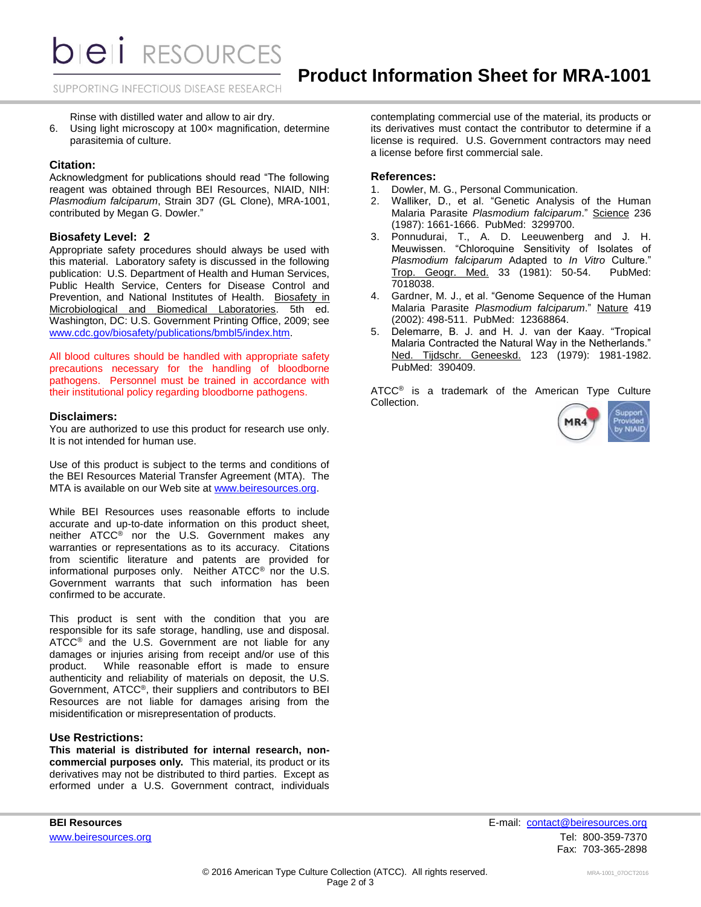*DIEI RESOURCES* 

SUPPORTING INFECTIOUS DISEASE RESEARCH

Rinse with distilled water and allow to air dry.

6. Using light microscopy at 100× magnification, determine parasitemia of culture.

#### **Citation:**

Acknowledgment for publications should read "The following reagent was obtained through BEI Resources, NIAID, NIH: *Plasmodium falciparum*, Strain 3D7 (GL Clone), MRA-1001, contributed by Megan G. Dowler."

#### **Biosafety Level: 2**

Appropriate safety procedures should always be used with this material. Laboratory safety is discussed in the following publication: U.S. Department of Health and Human Services, Public Health Service, Centers for Disease Control and Prevention, and National Institutes of Health. Biosafety in Microbiological and Biomedical Laboratories. 5th ed. Washington, DC: U.S. Government Printing Office, 2009; see [www.cdc.gov/biosafety/publications/bmbl5/index.htm.](http://www.cdc.gov/biosafety/publications/bmbl5/index.htm)

All blood cultures should be handled with appropriate safety precautions necessary for the handling of bloodborne pathogens. Personnel must be trained in accordance with their institutional policy regarding bloodborne pathogens.

#### **Disclaimers:**

You are authorized to use this product for research use only. It is not intended for human use.

Use of this product is subject to the terms and conditions of the BEI Resources Material Transfer Agreement (MTA). The MTA is available on our Web site at [www.beiresources.org.](http://www.beiresources.org/)

While BEI Resources uses reasonable efforts to include accurate and up-to-date information on this product sheet, neither ATCC® nor the U.S. Government makes any warranties or representations as to its accuracy. Citations from scientific literature and patents are provided for informational purposes only. Neither ATCC® nor the U.S. Government warrants that such information has been confirmed to be accurate.

This product is sent with the condition that you are responsible for its safe storage, handling, use and disposal. ATCC® and the U.S. Government are not liable for any damages or injuries arising from receipt and/or use of this product. While reasonable effort is made to ensure authenticity and reliability of materials on deposit, the U.S. Government, ATCC®, their suppliers and contributors to BEI Resources are not liable for damages arising from the misidentification or misrepresentation of products.

#### **Use Restrictions:**

**This material is distributed for internal research, noncommercial purposes only.** This material, its product or its derivatives may not be distributed to third parties. Except as erformed under a U.S. Government contract, individuals contemplating commercial use of the material, its products or its derivatives must contact the contributor to determine if a license is required. U.S. Government contractors may need a license before first commercial sale.

## **References:**

- 1. Dowler, M. G., Personal Communication.
- 2. Walliker, D., et al. "Genetic Analysis of the Human Malaria Parasite *Plasmodium falciparum*." Science 236 (1987): 1661-1666. PubMed: 3299700.
- 3. Ponnudurai, T., A. D. Leeuwenberg and J. H. Meuwissen. "Chloroquine Sensitivity of Isolates of *Plasmodium falciparum* Adapted to *In Vitro* Culture." Trop. Geogr. Med. 33 (1981): 50-54. PubMed: 7018038.
- 4. Gardner, M. J., et al. "Genome Sequence of the Human Malaria Parasite *Plasmodium falciparum*." Nature 419 (2002): 498-511. PubMed: 12368864.
- 5. Delemarre, B. J. and H. J. van der Kaay. "Tropical Malaria Contracted the Natural Way in the Netherlands." Ned. Tijdschr. Geneeskd. 123 (1979): 1981-1982. PubMed: 390409.

ATCC<sup>®</sup> is a trademark of the American Type Culture Collection.